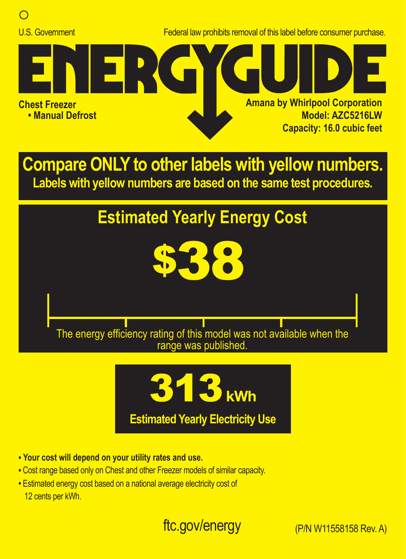

U.S. Government Federal law prohibits removal of this label before consumer purchase.



**Compare ONLY to other labels with yellow numbers. Labels with yellow numbers are based on the same test procedures.**

## **Estimated Yearly Energy Cost**



The energy efficiency rating of this model was not available when the range was published.



**• Your cost will depend on your utility rates and use.**

- **•** Cost range based only on Chest and other Freezer models of similar capacity.
- **•** Estimated energy cost based on a national average electricity cost of 12 cents per kWh.